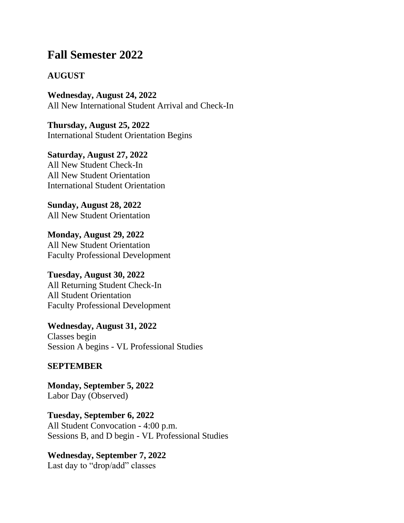# **Fall Semester 2022**

### **AUGUST**

**Wednesday, August 24, 2022** All New International Student Arrival and Check-In

**Thursday, August 25, 2022** International Student Orientation Begins

**Saturday, August 27, 2022** All New Student Check-In All New Student Orientation International Student Orientation

**Sunday, August 28, 2022** All New Student Orientation

**Monday, August 29, 2022** All New Student Orientation Faculty Professional Development

#### **Tuesday, August 30, 2022**

All Returning Student Check-In All Student Orientation Faculty Professional Development

**Wednesday, August 31, 2022** Classes begin Session A begins - VL Professional Studies

#### **SEPTEMBER**

**Monday, September 5, 2022** Labor Day (Observed)

**Tuesday, September 6, 2022** All Student Convocation - 4:00 p.m. Sessions B, and D begin - VL Professional Studies

#### **Wednesday, September 7, 2022**

Last day to "drop/add" classes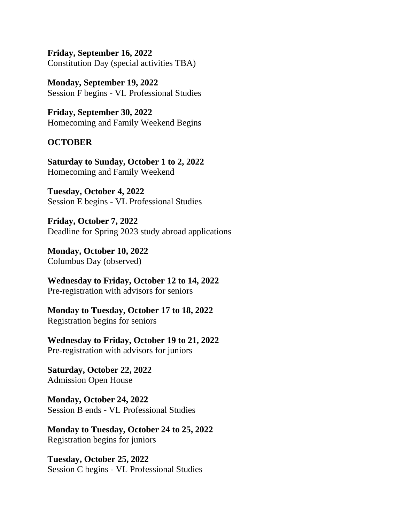**Friday, September 16, 2022** Constitution Day (special activities TBA)

**Monday, September 19, 2022** Session F begins - VL Professional Studies

**Friday, September 30, 2022** Homecoming and Family Weekend Begins

#### **OCTOBER**

**Saturday to Sunday, October 1 to 2, 2022** Homecoming and Family Weekend

**Tuesday, October 4, 2022** Session E begins - VL Professional Studies

**Friday, October 7, 2022** Deadline for Spring 2023 study abroad applications

**Monday, October 10, 2022** Columbus Day (observed)

**Wednesday to Friday, October 12 to 14, 2022** Pre-registration with advisors for seniors

**Monday to Tuesday, October 17 to 18, 2022** Registration begins for seniors

**Wednesday to Friday, October 19 to 21, 2022** Pre-registration with advisors for juniors

**Saturday, October 22, 2022** Admission Open House

**Monday, October 24, 2022** Session B ends - VL Professional Studies

**Monday to Tuesday, October 24 to 25, 2022** Registration begins for juniors

**Tuesday, October 25, 2022** Session C begins - VL Professional Studies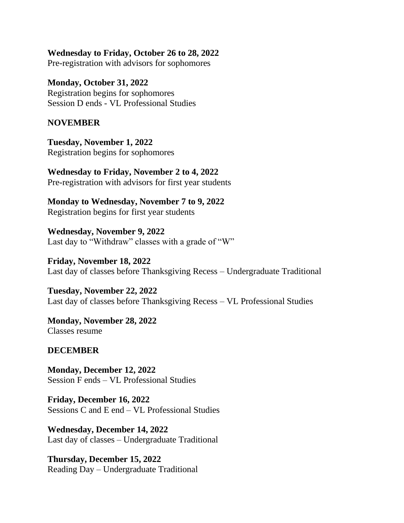**Wednesday to Friday, October 26 to 28, 2022** Pre-registration with advisors for sophomores

**Monday, October 31, 2022** Registration begins for sophomores Session D ends - VL Professional Studies

#### **NOVEMBER**

**Tuesday, November 1, 2022** Registration begins for sophomores

**Wednesday to Friday, November 2 to 4, 2022** Pre-registration with advisors for first year students

**Monday to Wednesday, November 7 to 9, 2022** Registration begins for first year students

**Wednesday, November 9, 2022** Last day to "Withdraw" classes with a grade of "W"

**Friday, November 18, 2022** Last day of classes before Thanksgiving Recess – Undergraduate Traditional

**Tuesday, November 22, 2022** Last day of classes before Thanksgiving Recess – VL Professional Studies

**Monday, November 28, 2022** Classes resume

#### **DECEMBER**

**Monday, December 12, 2022** Session F ends – VL Professional Studies

**Friday, December 16, 2022** Sessions C and E end – VL Professional Studies

**Wednesday, December 14, 2022** Last day of classes – Undergraduate Traditional

**Thursday, December 15, 2022** Reading Day – Undergraduate Traditional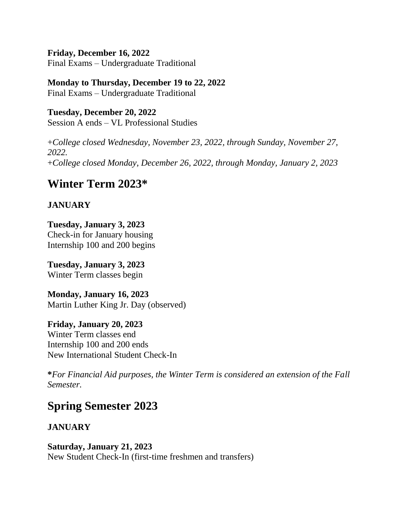#### **Friday, December 16, 2022**

Final Exams – Undergraduate Traditional

## **Monday to Thursday, December 19 to 22, 2022**

Final Exams – Undergraduate Traditional

#### **Tuesday, December 20, 2022** Session A ends – VL Professional Studies

+*College closed Wednesday, November 23, 2022, through Sunday, November 27, 2022.*

+*College closed Monday, December 26, 2022, through Monday, January 2, 2023*

# **Winter Term 2023\***

## **JANUARY**

**Tuesday, January 3, 2023** Check-in for January housing Internship 100 and 200 begins

**Tuesday, January 3, 2023** Winter Term classes begin

**Monday, January 16, 2023** Martin Luther King Jr. Day (observed)

#### **Friday, January 20, 2023** Winter Term classes end Internship 100 and 200 ends New International Student Check-In

**\****For Financial Aid purposes, the Winter Term is considered an extension of the Fall Semester.*

# **Spring Semester 2023**

## **JANUARY**

**Saturday, January 21, 2023** New Student Check-In (first-time freshmen and transfers)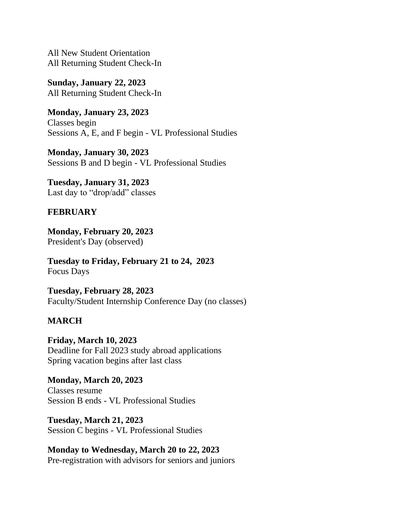All New Student Orientation All Returning Student Check-In

**Sunday, January 22, 2023** All Returning Student Check-In

**Monday, January 23, 2023** Classes begin Sessions A, E, and F begin - VL Professional Studies

**Monday, January 30, 2023** Sessions B and D begin - VL Professional Studies

**Tuesday, January 31, 2023** Last day to "drop/add" classes

### **FEBRUARY**

**Monday, February 20, 2023** President's Day (observed)

**Tuesday to Friday, February 21 to 24, 2023** Focus Days

**Tuesday, February 28, 2023** Faculty/Student Internship Conference Day (no classes)

### **MARCH**

**Friday, March 10, 2023** Deadline for Fall 2023 study abroad applications Spring vacation begins after last class

**Monday, March 20, 2023** Classes resume Session B ends - VL Professional Studies

**Tuesday, March 21, 2023** Session C begins - VL Professional Studies

**Monday to Wednesday, March 20 to 22, 2023** Pre-registration with advisors for seniors and juniors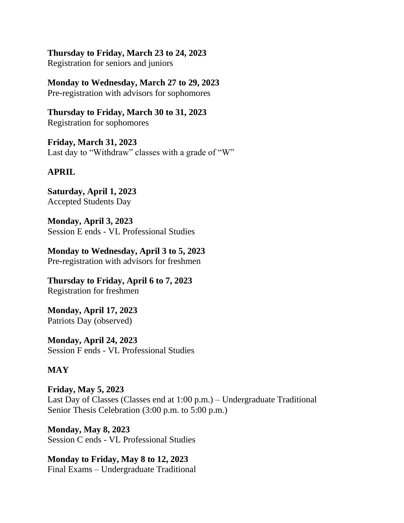**Thursday to Friday, March 23 to 24, 2023** Registration for seniors and juniors

**Monday to Wednesday, March 27 to 29, 2023** Pre-registration with advisors for sophomores

**Thursday to Friday, March 30 to 31, 2023** Registration for sophomores

**Friday, March 31, 2023** Last day to "Withdraw" classes with a grade of "W"

## **APRIL**

**Saturday, April 1, 2023** Accepted Students Day

**Monday, April 3, 2023** Session E ends - VL Professional Studies

**Monday to Wednesday, April 3 to 5, 2023** Pre-registration with advisors for freshmen

**Thursday to Friday, April 6 to 7, 2023** Registration for freshmen

**Monday, April 17, 2023** Patriots Day (observed)

**Monday, April 24, 2023** Session F ends - VL Professional Studies

## **MAY**

**Friday, May 5, 2023** Last Day of Classes (Classes end at 1:00 p.m.) – Undergraduate Traditional Senior Thesis Celebration (3:00 p.m. to 5:00 p.m.)

**Monday, May 8, 2023** Session C ends - VL Professional Studies

**Monday to Friday, May 8 to 12, 2023** Final Exams – Undergraduate Traditional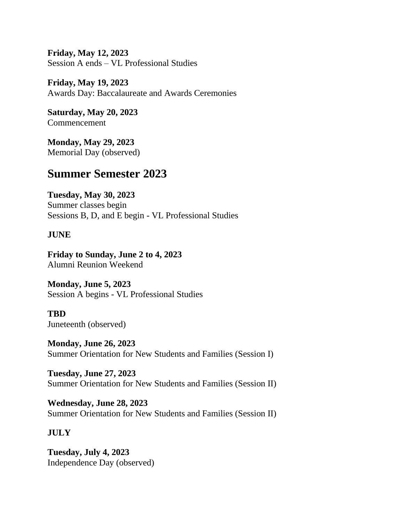**Friday, May 12, 2023** Session A ends – VL Professional Studies

**Friday, May 19, 2023** Awards Day: Baccalaureate and Awards Ceremonies

**Saturday, May 20, 2023** Commencement

**Monday, May 29, 2023** Memorial Day (observed)

# **Summer Semester 2023**

**Tuesday, May 30, 2023** Summer classes begin Sessions B, D, and E begin - VL Professional Studies

## **JUNE**

**Friday to Sunday, June 2 to 4, 2023** Alumni Reunion Weekend

**Monday, June 5, 2023** Session A begins - VL Professional Studies

**TBD** Juneteenth (observed)

**Monday, June 26, 2023** Summer Orientation for New Students and Families (Session I)

**Tuesday, June 27, 2023** Summer Orientation for New Students and Families (Session II)

**Wednesday, June 28, 2023** Summer Orientation for New Students and Families (Session II)

## **JULY**

**Tuesday, July 4, 2023** Independence Day (observed)